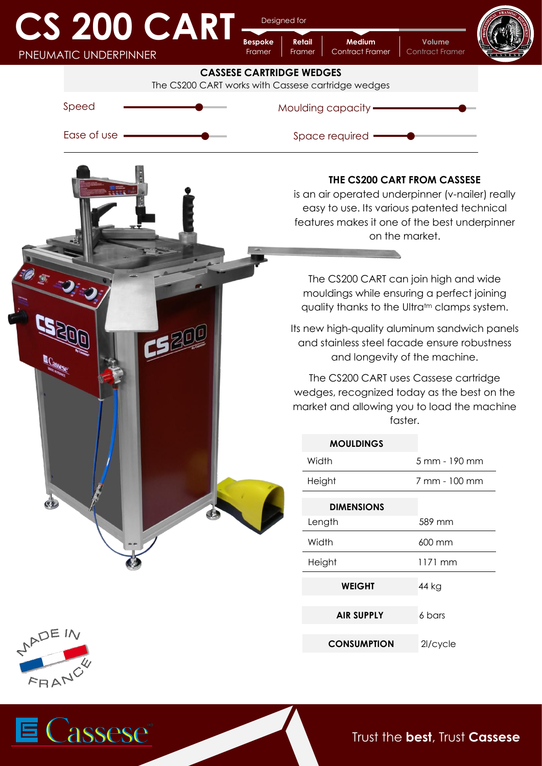## **CS 200 CART** PNEUMATIC UNDERPINNER

Designed for

**Retail**

**Bespoke**

**Medium Volume**